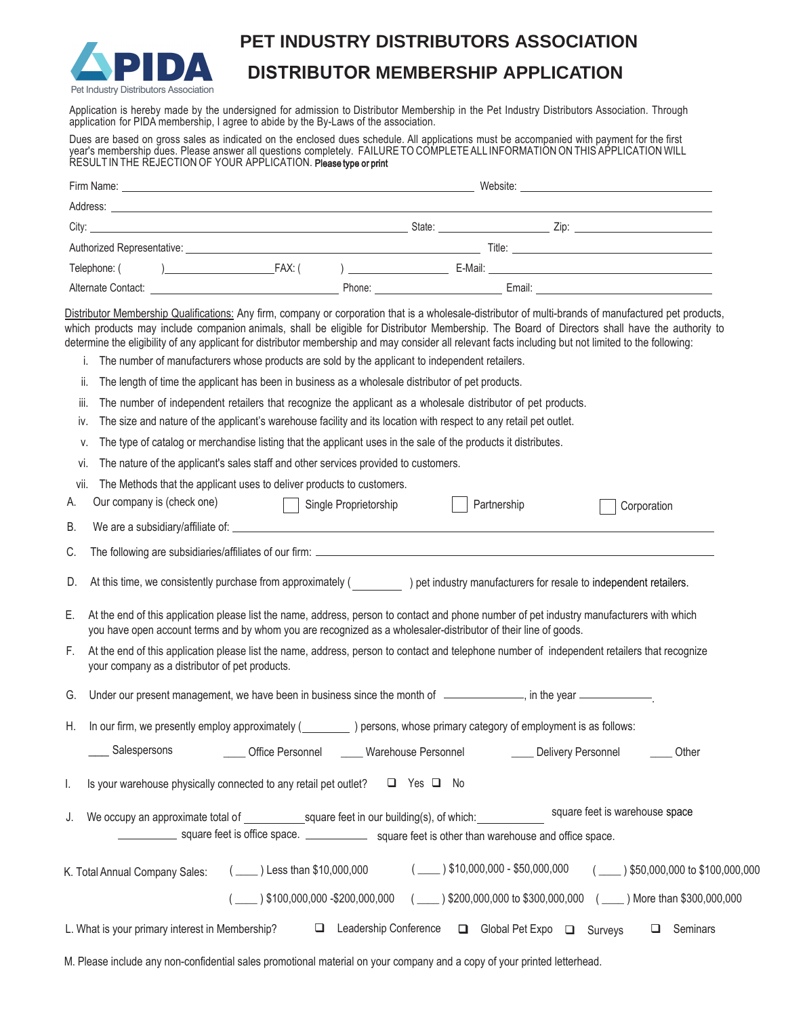

### **PET INDUSTRY DISTRIBUTORS ASSOCIATION**

## **DISTRIBUTOR MEMBERSHIP APPLICATION**

Application is hereby made by the undersigned for admission to Distributor Membership in the Pet Industry Distributors Association. Through application for PIDA membership, I agree to abide by the By-Laws of the association.

Dues are based on gross sales as indicated on the enclosed dues schedule. All applications must be accompanied with payment for the first year's membership dues. Please answer all questions completely. FAILURE TO COMPLETE ALL INFORMATION ON THIS APPLICATION WILL RESULT IN THE REJECTION OF YOUR APPLICATION. Please type or print

|             | Firm Name: Name: Name: Name: Name: Name: Name: Name: Name: Name: Name: Name: Name: Name: Name: Name: Name: Name: Name: Name: Name: Name: Name: Name: Name: Name: Name: Name: Name: Name: Name: Name: Name: Name: Name: Name: N                                                                                                                                                                                                                                                                                                                                                                                                                                                                                                                                                          |                       |                                                                                                        |             |                                       |
|-------------|-----------------------------------------------------------------------------------------------------------------------------------------------------------------------------------------------------------------------------------------------------------------------------------------------------------------------------------------------------------------------------------------------------------------------------------------------------------------------------------------------------------------------------------------------------------------------------------------------------------------------------------------------------------------------------------------------------------------------------------------------------------------------------------------|-----------------------|--------------------------------------------------------------------------------------------------------|-------------|---------------------------------------|
|             |                                                                                                                                                                                                                                                                                                                                                                                                                                                                                                                                                                                                                                                                                                                                                                                         |                       |                                                                                                        |             |                                       |
|             |                                                                                                                                                                                                                                                                                                                                                                                                                                                                                                                                                                                                                                                                                                                                                                                         |                       |                                                                                                        |             |                                       |
|             |                                                                                                                                                                                                                                                                                                                                                                                                                                                                                                                                                                                                                                                                                                                                                                                         |                       |                                                                                                        |             |                                       |
|             | Telephone: (                                                                                                                                                                                                                                                                                                                                                                                                                                                                                                                                                                                                                                                                                                                                                                            |                       |                                                                                                        |             |                                       |
|             |                                                                                                                                                                                                                                                                                                                                                                                                                                                                                                                                                                                                                                                                                                                                                                                         |                       |                                                                                                        |             |                                       |
| ii.<br>iii. | Distributor Membership Qualifications: Any firm, company or corporation that is a wholesale-distributor of multi-brands of manufactured pet products,<br>which products may include companion animals, shall be eligible for Distributor Membership. The Board of Directors shall have the authority to<br>determine the eligibility of any applicant for distributor membership and may consider all relevant facts including but not limited to the following:<br>The number of manufacturers whose products are sold by the applicant to independent retailers.<br>The length of time the applicant has been in business as a wholesale distributor of pet products.<br>The number of independent retailers that recognize the applicant as a wholesale distributor of pet products. |                       |                                                                                                        |             |                                       |
| IV.         | The size and nature of the applicant's warehouse facility and its location with respect to any retail pet outlet.                                                                                                                                                                                                                                                                                                                                                                                                                                                                                                                                                                                                                                                                       |                       |                                                                                                        |             |                                       |
| ٧.          | The type of catalog or merchandise listing that the applicant uses in the sale of the products it distributes.                                                                                                                                                                                                                                                                                                                                                                                                                                                                                                                                                                                                                                                                          |                       |                                                                                                        |             |                                       |
| Vİ.         | The nature of the applicant's sales staff and other services provided to customers.                                                                                                                                                                                                                                                                                                                                                                                                                                                                                                                                                                                                                                                                                                     |                       |                                                                                                        |             |                                       |
| Vİİ.<br>А.  | The Methods that the applicant uses to deliver products to customers.<br>Our company is (check one)<br>$\perp$                                                                                                                                                                                                                                                                                                                                                                                                                                                                                                                                                                                                                                                                          | Single Proprietorship | Partnership                                                                                            | Corporation |                                       |
| В.          |                                                                                                                                                                                                                                                                                                                                                                                                                                                                                                                                                                                                                                                                                                                                                                                         |                       |                                                                                                        |             |                                       |
| C.          |                                                                                                                                                                                                                                                                                                                                                                                                                                                                                                                                                                                                                                                                                                                                                                                         |                       |                                                                                                        |             |                                       |
| D.          | At this time, we consistently purchase from approximately (<br>) pet industry manufacturers for resale to independent retailers.                                                                                                                                                                                                                                                                                                                                                                                                                                                                                                                                                                                                                                                        |                       |                                                                                                        |             |                                       |
| Ε.          | At the end of this application please list the name, address, person to contact and phone number of pet industry manufacturers with which<br>you have open account terms and by whom you are recognized as a wholesaler-distributor of their line of goods.                                                                                                                                                                                                                                                                                                                                                                                                                                                                                                                             |                       |                                                                                                        |             |                                       |
| F.          | At the end of this application please list the name, address, person to contact and telephone number of independent retailers that recognize<br>your company as a distributor of pet products.                                                                                                                                                                                                                                                                                                                                                                                                                                                                                                                                                                                          |                       |                                                                                                        |             |                                       |
| G.          | Under our present management, we have been in business since the month of ___________, in the year __________                                                                                                                                                                                                                                                                                                                                                                                                                                                                                                                                                                                                                                                                           |                       |                                                                                                        |             |                                       |
| Η.          | In our firm, we presently employ approximately (<br>) persons, whose primary category of employment is as follows:                                                                                                                                                                                                                                                                                                                                                                                                                                                                                                                                                                                                                                                                      |                       |                                                                                                        |             |                                       |
|             | Salespersons <b>Confice Personnel</b> Compare Marehouse Personnel <b>Confidence Comparent Comparent Comparent Comparent</b> Other                                                                                                                                                                                                                                                                                                                                                                                                                                                                                                                                                                                                                                                       |                       |                                                                                                        |             |                                       |
| I.          | Is your warehouse physically connected to any retail pet outlet? □ Yes □ No                                                                                                                                                                                                                                                                                                                                                                                                                                                                                                                                                                                                                                                                                                             |                       |                                                                                                        |             |                                       |
| J.          | square feet is office space. _______________ square feet is other than warehouse and office space.                                                                                                                                                                                                                                                                                                                                                                                                                                                                                                                                                                                                                                                                                      |                       |                                                                                                        |             |                                       |
|             | K. Total Annual Company Sales: (____) Less than \$10,000,000                                                                                                                                                                                                                                                                                                                                                                                                                                                                                                                                                                                                                                                                                                                            |                       | $($ $\_\_\_\$ $)$ \$10,000,000 - \$50,000,000                                                          |             | $($ $)$ \$50,000,000 to \$100,000,000 |
|             |                                                                                                                                                                                                                                                                                                                                                                                                                                                                                                                                                                                                                                                                                                                                                                                         |                       | (100,000,000 -\$200,000,000 (100) \$200,000,000 to \$300,000,000 (100) More than \$300,000,000 (100) } |             |                                       |
|             | L. What is your primary interest in Membership?                                                                                                                                                                                                                                                                                                                                                                                                                                                                                                                                                                                                                                                                                                                                         | Leadership Conference | □ Global Pet Expo □ Surveys                                                                            |             | $\Box$ Seminars                       |

M. Please include any non-confidential sales promotional material on your company and a copy of your printed letterhead.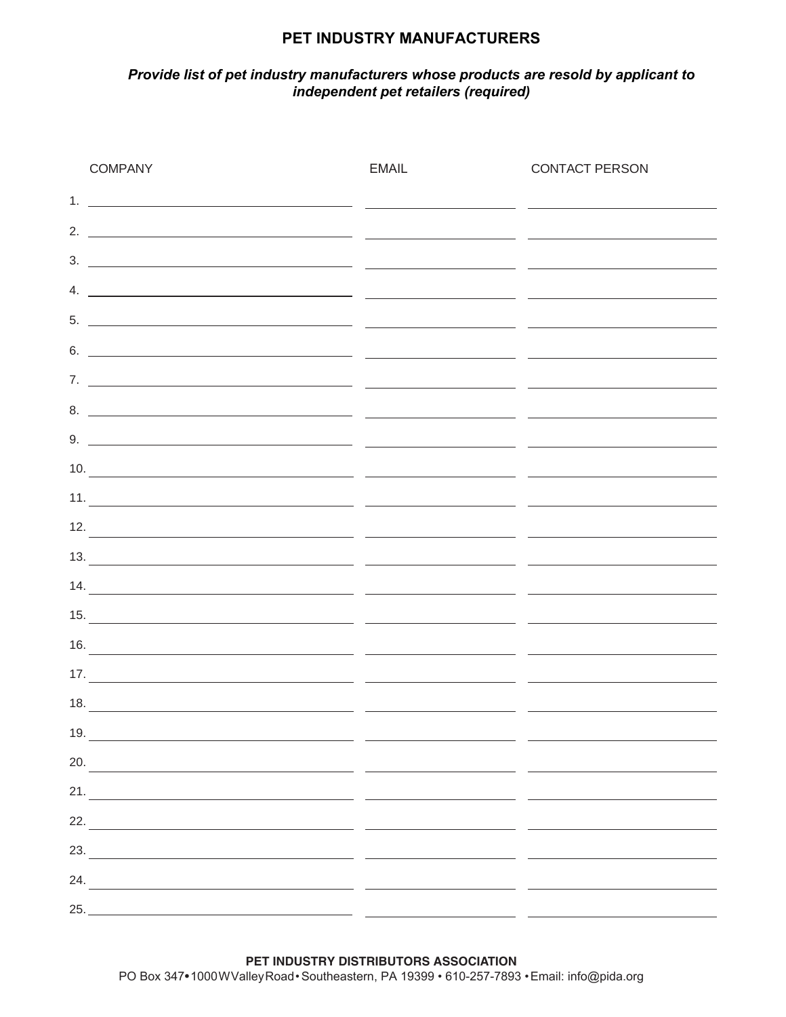### **PET INDUSTRY MANUFACTURERS**

#### *Provide list of pet industry manufacturers whose products are resold by applicant to independent pet retailers (required)*

| <b>COMPANY</b>                                                                                                                                                                                                                                                                                                                                                                                                                                                           | <b>EMAIL</b> | <b>CONTACT PERSON</b> |
|--------------------------------------------------------------------------------------------------------------------------------------------------------------------------------------------------------------------------------------------------------------------------------------------------------------------------------------------------------------------------------------------------------------------------------------------------------------------------|--------------|-----------------------|
|                                                                                                                                                                                                                                                                                                                                                                                                                                                                          |              |                       |
|                                                                                                                                                                                                                                                                                                                                                                                                                                                                          |              |                       |
|                                                                                                                                                                                                                                                                                                                                                                                                                                                                          |              |                       |
| 4. $\overline{\phantom{a}}$                                                                                                                                                                                                                                                                                                                                                                                                                                              |              |                       |
|                                                                                                                                                                                                                                                                                                                                                                                                                                                                          |              |                       |
| $\overline{\phantom{a}}$ 6. $\overline{\phantom{a}}$ $\overline{\phantom{a}}$ $\overline{\phantom{a}}$ $\overline{\phantom{a}}$ $\overline{\phantom{a}}$ $\overline{\phantom{a}}$ $\overline{\phantom{a}}$ $\overline{\phantom{a}}$ $\overline{\phantom{a}}$ $\overline{\phantom{a}}$ $\overline{\phantom{a}}$ $\overline{\phantom{a}}$ $\overline{\phantom{a}}$ $\overline{\phantom{a}}$ $\overline{\phantom{a}}$ $\overline{\phantom{a}}$ $\overline{\phantom{a}}$ $\$ |              |                       |
|                                                                                                                                                                                                                                                                                                                                                                                                                                                                          |              |                       |
|                                                                                                                                                                                                                                                                                                                                                                                                                                                                          |              |                       |
| $\overline{\phantom{a}}$ 9. $\overline{\phantom{a}}$ $\overline{\phantom{a}}$ $\overline{\phantom{a}}$ $\overline{\phantom{a}}$ $\overline{\phantom{a}}$ $\overline{\phantom{a}}$ $\overline{\phantom{a}}$ $\overline{\phantom{a}}$ $\overline{\phantom{a}}$ $\overline{\phantom{a}}$ $\overline{\phantom{a}}$ $\overline{\phantom{a}}$ $\overline{\phantom{a}}$ $\overline{\phantom{a}}$ $\overline{\phantom{a}}$ $\overline{\phantom{a}}$ $\overline{\phantom{a}}$ $\$ |              |                       |
| $10.$ $\overline{\phantom{a}}$                                                                                                                                                                                                                                                                                                                                                                                                                                           |              |                       |
|                                                                                                                                                                                                                                                                                                                                                                                                                                                                          |              |                       |
| $\frac{12.}{2}$ . The contract of the contract of the contract of the contract of the contract of the contract of the contract of the contract of the contract of the contract of the contract of the contract of the contract of                                                                                                                                                                                                                                        |              |                       |
|                                                                                                                                                                                                                                                                                                                                                                                                                                                                          |              |                       |
| $\frac{1}{4}$                                                                                                                                                                                                                                                                                                                                                                                                                                                            |              |                       |
|                                                                                                                                                                                                                                                                                                                                                                                                                                                                          |              |                       |
| $\frac{16.}{2}$                                                                                                                                                                                                                                                                                                                                                                                                                                                          |              |                       |
|                                                                                                                                                                                                                                                                                                                                                                                                                                                                          |              |                       |
|                                                                                                                                                                                                                                                                                                                                                                                                                                                                          |              |                       |
| 19.<br><u> 1989 - Andrea Santa Alemania, amerikana amerikana amerikana amerikana amerikana amerikana amerikana amerikana</u>                                                                                                                                                                                                                                                                                                                                             |              |                       |
| 20.                                                                                                                                                                                                                                                                                                                                                                                                                                                                      |              |                       |
|                                                                                                                                                                                                                                                                                                                                                                                                                                                                          |              |                       |
|                                                                                                                                                                                                                                                                                                                                                                                                                                                                          |              |                       |
|                                                                                                                                                                                                                                                                                                                                                                                                                                                                          |              |                       |
|                                                                                                                                                                                                                                                                                                                                                                                                                                                                          |              |                       |
| 25.                                                                                                                                                                                                                                                                                                                                                                                                                                                                      |              |                       |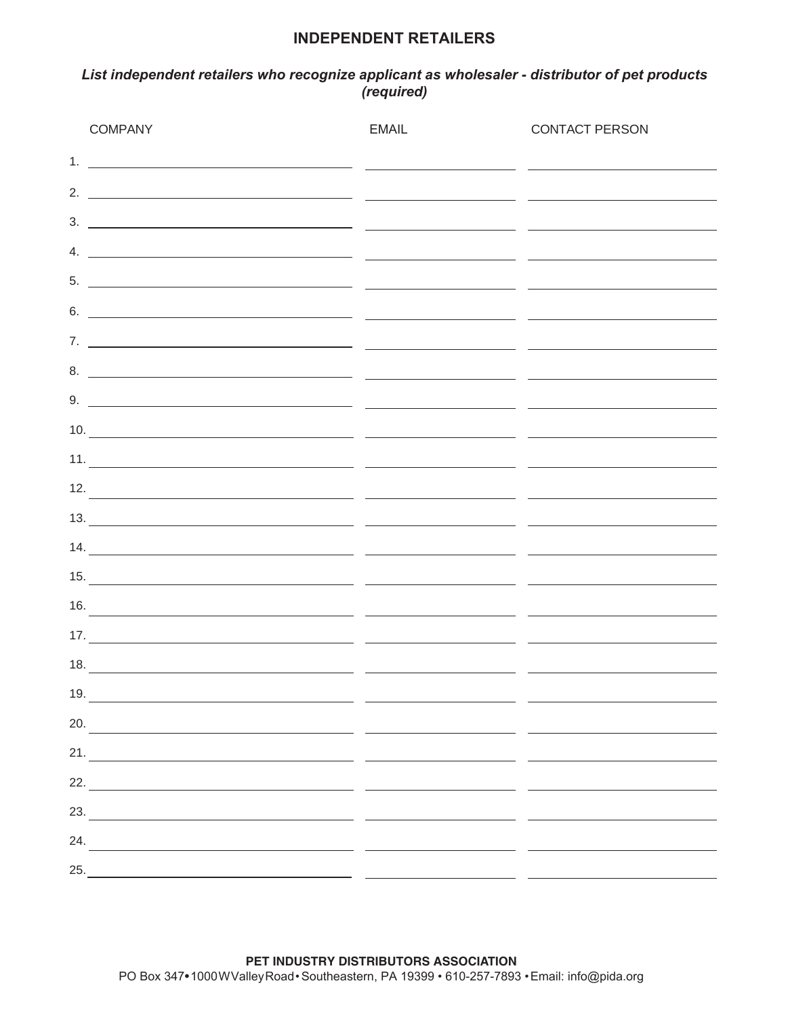#### **INDEPENDENT RETAILERS**

#### *List independent retailers who recognize applicant as wholesaler - distributor of pet products (required)*

| <b>COMPANY</b> | <b>EMAIL</b>                 | <b>CONTACT PERSON</b>                                                                                                                                                                                                                                                                                                                                                                                                                                                    |
|----------------|------------------------------|--------------------------------------------------------------------------------------------------------------------------------------------------------------------------------------------------------------------------------------------------------------------------------------------------------------------------------------------------------------------------------------------------------------------------------------------------------------------------|
|                |                              |                                                                                                                                                                                                                                                                                                                                                                                                                                                                          |
|                |                              |                                                                                                                                                                                                                                                                                                                                                                                                                                                                          |
|                |                              | $\frac{1}{2}$ . The contract of the contract of the contract of the contract of the contract of the contract of the contract of the contract of the contract of the contract of the contract of the contract of the contract of t                                                                                                                                                                                                                                        |
|                |                              | 4. $\overline{\phantom{a}}$                                                                                                                                                                                                                                                                                                                                                                                                                                              |
|                |                              |                                                                                                                                                                                                                                                                                                                                                                                                                                                                          |
|                |                              | $\overline{\phantom{a}}$ 6. $\overline{\phantom{a}}$ $\overline{\phantom{a}}$ $\overline{\phantom{a}}$ $\overline{\phantom{a}}$ $\overline{\phantom{a}}$ $\overline{\phantom{a}}$ $\overline{\phantom{a}}$ $\overline{\phantom{a}}$ $\overline{\phantom{a}}$ $\overline{\phantom{a}}$ $\overline{\phantom{a}}$ $\overline{\phantom{a}}$ $\overline{\phantom{a}}$ $\overline{\phantom{a}}$ $\overline{\phantom{a}}$ $\overline{\phantom{a}}$ $\overline{\phantom{a}}$ $\$ |
|                |                              |                                                                                                                                                                                                                                                                                                                                                                                                                                                                          |
|                |                              |                                                                                                                                                                                                                                                                                                                                                                                                                                                                          |
|                |                              | $\overline{\phantom{a}}$ 9. $\overline{\phantom{a}}$ $\overline{\phantom{a}}$ $\overline{\phantom{a}}$ $\overline{\phantom{a}}$ $\overline{\phantom{a}}$ $\overline{\phantom{a}}$ $\overline{\phantom{a}}$ $\overline{\phantom{a}}$ $\overline{\phantom{a}}$ $\overline{\phantom{a}}$ $\overline{\phantom{a}}$ $\overline{\phantom{a}}$ $\overline{\phantom{a}}$ $\overline{\phantom{a}}$ $\overline{\phantom{a}}$ $\overline{\phantom{a}}$ $\overline{\phantom{a}}$ $\$ |
|                |                              | $10.$ $\overline{\phantom{a}}$                                                                                                                                                                                                                                                                                                                                                                                                                                           |
|                |                              |                                                                                                                                                                                                                                                                                                                                                                                                                                                                          |
|                |                              |                                                                                                                                                                                                                                                                                                                                                                                                                                                                          |
|                |                              |                                                                                                                                                                                                                                                                                                                                                                                                                                                                          |
|                |                              |                                                                                                                                                                                                                                                                                                                                                                                                                                                                          |
|                |                              |                                                                                                                                                                                                                                                                                                                                                                                                                                                                          |
|                |                              | $\frac{16.}{2}$                                                                                                                                                                                                                                                                                                                                                                                                                                                          |
|                |                              |                                                                                                                                                                                                                                                                                                                                                                                                                                                                          |
|                |                              |                                                                                                                                                                                                                                                                                                                                                                                                                                                                          |
|                | 19. $\overline{\phantom{a}}$ |                                                                                                                                                                                                                                                                                                                                                                                                                                                                          |
|                |                              |                                                                                                                                                                                                                                                                                                                                                                                                                                                                          |
|                |                              |                                                                                                                                                                                                                                                                                                                                                                                                                                                                          |
|                |                              |                                                                                                                                                                                                                                                                                                                                                                                                                                                                          |
|                |                              |                                                                                                                                                                                                                                                                                                                                                                                                                                                                          |
| 24.            |                              | <u> 1980 - Andrea Andrew Maria (h. 1980).</u><br>1980 - Andrew Maria (h. 1980).                                                                                                                                                                                                                                                                                                                                                                                          |
|                |                              |                                                                                                                                                                                                                                                                                                                                                                                                                                                                          |